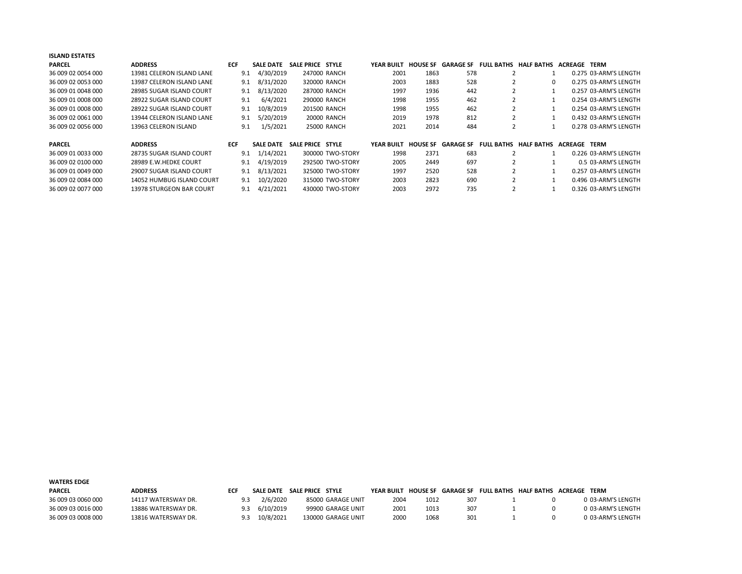| <b>ISLAND ESTATES</b> |                           |            |                  |                    |            |                 |           |                   |                                        |                     |                       |
|-----------------------|---------------------------|------------|------------------|--------------------|------------|-----------------|-----------|-------------------|----------------------------------------|---------------------|-----------------------|
| <b>PARCEL</b>         | <b>ADDRESS</b>            | <b>ECF</b> | <b>SALE DATE</b> | SALE PRICE STYLE   | YEAR BUILT | <b>HOUSE SF</b> |           |                   | <b>GARAGE SF FULL BATHS HALF BATHS</b> | <b>ACREAGE TERM</b> |                       |
| 36 009 02 0054 000    | 13981 CELERON ISLAND LANE | 9.1        | 4/30/2019        | 247000 RANCH       | 2001       | 1863            | 578       |                   |                                        |                     | 0.275 03-ARM'S LENGTH |
| 36 009 02 0053 000    | 13987 CELERON ISLAND LANE | 9.1        | 8/31/2020        | 320000 RANCH       | 2003       | 1883            | 528       |                   | 0                                      |                     | 0.275 03-ARM'S LENGTH |
| 36 009 01 0048 000    | 28985 SUGAR ISLAND COURT  | 9.1        | 8/13/2020        | 287000 RANCH       | 1997       | 1936            | 442       |                   |                                        |                     | 0.257 03-ARM'S LENGTH |
| 36 009 01 0008 000    | 28922 SUGAR ISLAND COURT  | 9.1        | 6/4/2021         | 290000 RANCH       | 1998       | 1955            | 462       |                   |                                        |                     | 0.254 03-ARM'S LENGTH |
| 36 009 01 0008 000    | 28922 SUGAR ISLAND COURT  | 9.1        | 10/8/2019        | 201500 RANCH       | 1998       | 1955            | 462       |                   |                                        |                     | 0.254 03-ARM'S LENGTH |
| 36 009 02 0061 000    | 13944 CELERON ISLAND LANE | 9.1        | 5/20/2019        | <b>20000 RANCH</b> | 2019       | 1978            | 812       |                   |                                        |                     | 0.432 03-ARM'S LENGTH |
| 36 009 02 0056 000    | 13963 CELERON ISLAND      | 9.1        | 1/5/2021         | <b>25000 RANCH</b> | 2021       | 2014            | 484       |                   |                                        |                     | 0.278 03-ARM'S LENGTH |
| <b>PARCEL</b>         | <b>ADDRESS</b>            | <b>ECF</b> | <b>SALE DATE</b> | SALE PRICE STYLE   | YEAR BUILT | <b>HOUSE SF</b> | GARAGE SF | <b>FULL BATHS</b> | <b>HALF BATHS</b>                      | <b>ACREAGE TERM</b> |                       |
| 36 009 01 0033 000    | 28735 SUGAR ISLAND COURT  | 9.1        | 1/14/2021        | 300000 TWO-STORY   | 1998       | 2371            | 683       |                   |                                        |                     | 0.226 03-ARM'S LENGTH |
| 36 009 02 0100 000    | 28989 E.W.HEDKE COURT     | 9.1        | 4/19/2019        | 292500 TWO-STORY   | 2005       | 2449            | 697       |                   |                                        |                     | 0.5 03-ARM'S LENGTH   |
| 36 009 01 0049 000    | 29007 SUGAR ISLAND COURT  | 9.1        | 8/13/2021        | 325000 TWO-STORY   | 1997       | 2520            | 528       |                   |                                        |                     | 0.257 03-ARM'S LENGTH |
| 36 009 02 0084 000    | 14052 HUMBUG ISLAND COURT | 9.1        | 10/2/2020        | 315000 TWO-STORY   | 2003       | 2823            | 690       | ∠                 |                                        |                     | 0.496 03-ARM'S LENGTH |
| 36 009 02 0077 000    | 13978 STURGEON BAR COURT  | 9.1        | 4/21/2021        | 430000 TWO-STORY   | 2003       | 2972            | 735       |                   |                                        |                     | 0.326 03-ARM'S LENGTH |

| <b>WATERS EDGE</b> |                     |     |           |                            |            |      |     |                                                       |                   |
|--------------------|---------------------|-----|-----------|----------------------------|------------|------|-----|-------------------------------------------------------|-------------------|
| <b>PARCEL</b>      | ADDRESS             | ECF |           | SALE DATE SALE PRICE STYLE | YFAR BUILT |      |     | HOUSE SF GARAGE SF FULL BATHS HALF BATHS ACREAGE TERM |                   |
| 36 009 03 0060 000 | 14117 WATERSWAY DR. | 9.3 | 2/6/2020  | 85000 GARAGE UNIT          | 2004       | 1012 | 307 |                                                       | 0 03-ARM'S LENGTH |
| 36 009 03 0016 000 | 13886 WATERSWAY DR. |     | 6/10/2019 | 99900 GARAGE UNIT          | 2001       | 1013 | 307 |                                                       | 0 03-ARM'S LENGTH |
| 36 009 03 0008 000 | 13816 WATERSWAY DR. | 9.3 | 10/8/2021 | 130000 GARAGE UNIT         | 2000       | 1068 | 301 |                                                       | 0 03-ARM'S LENGTH |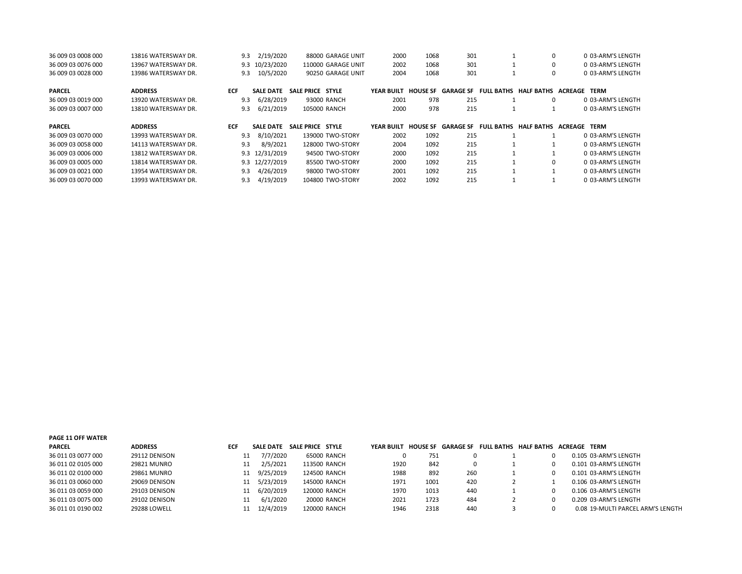| 36 009 03 0008 000 | 13816 WATERSWAY DR. | 9.3        | 2/19/2020        | 88000 GARAGE UNIT  | 2000       | 1068            | 301              |                   | $\Omega$          | 0 03-ARM'S LENGTH |
|--------------------|---------------------|------------|------------------|--------------------|------------|-----------------|------------------|-------------------|-------------------|-------------------|
| 36 009 03 0076 000 | 13967 WATERSWAY DR. |            | 9.3 10/23/2020   | 110000 GARAGE UNIT | 2002       | 1068            | 301              |                   | 0                 | 0 03-ARM'S LENGTH |
| 36 009 03 0028 000 | 13986 WATERSWAY DR. | 9.3        | 10/5/2020        | 90250 GARAGE UNIT  | 2004       | 1068            | 301              |                   |                   | 0 03-ARM'S LENGTH |
| <b>PARCEL</b>      | <b>ADDRESS</b>      | <b>ECF</b> | <b>SALE DATE</b> | SALE PRICE STYLE   | YEAR BUILT | <b>HOUSE SF</b> | <b>GARAGE SF</b> | <b>FULL BATHS</b> | <b>HALF BATHS</b> | ACREAGE<br>TERM   |
| 36 009 03 0019 000 | 13920 WATERSWAY DR. | 9.3        | 6/28/2019        | 93000 RANCH        | 2001       | 978             | 215              |                   | 0                 | 0 03-ARM'S LENGTH |
| 36 009 03 0007 000 | 13810 WATERSWAY DR. | 9.3        | 6/21/2019        | 105000 RANCH       | 2000       | 978             | 215              |                   |                   | 0 03-ARM'S LENGTH |
|                    |                     |            |                  |                    |            |                 |                  |                   |                   |                   |
| <b>PARCEL</b>      | <b>ADDRESS</b>      | <b>ECF</b> | <b>SALE DATE</b> | SALE PRICE STYLE   | YEAR BUILT | <b>HOUSE SF</b> | <b>GARAGE SF</b> | <b>FULL BATHS</b> | HALF BATHS        | TERM<br>ACREAGE   |
| 36 009 03 0070 000 | 13993 WATERSWAY DR. | 9.3        | 8/10/2021        | 139000 TWO-STORY   | 2002       | 1092            | 215              |                   |                   | 0 03-ARM'S LENGTH |
| 36 009 03 0058 000 | 14113 WATERSWAY DR. | 9.3        | 8/9/2021         | 128000 TWO-STORY   | 2004       | 1092            | 215              |                   |                   | 0 03-ARM'S LENGTH |
| 36 009 03 0006 000 | 13812 WATERSWAY DR. |            | 9.3 12/31/2019   | 94500 TWO-STORY    | 2000       | 1092            | 215              |                   |                   | 0 03-ARM'S LENGTH |
| 36 009 03 0005 000 | 13814 WATERSWAY DR. |            | 9.3 12/27/2019   | 85500 TWO-STORY    | 2000       | 1092            | 215              |                   | 0                 | 0 03-ARM'S LENGTH |
| 36 009 03 0021 000 | 13954 WATERSWAY DR. | 9.3        | 4/26/2019        | 98000 TWO-STORY    | 2001       | 1092            | 215              |                   |                   | 0 03-ARM'S LENGTH |

| <b>PAGE 11 OFF WATER</b> |                     |     |                  |                  |              |            |                 |           |                                    |                                   |
|--------------------------|---------------------|-----|------------------|------------------|--------------|------------|-----------------|-----------|------------------------------------|-----------------------------------|
| <b>PARCEL</b>            | <b>ADDRESS</b>      | ECF | <b>SALE DATE</b> | SALE PRICE STYLE |              | YEAR BUILT | <b>HOUSE SF</b> | GARAGE SF | FULL BATHS HALF BATHS ACREAGE TERM |                                   |
| 36 011 03 0077 000       | 29112 DENISON       |     | 7/7/2020         |                  | 65000 RANCH  |            | 751             |           |                                    | 0.105 03-ARM'S LENGTH             |
| 36 011 02 0105 000       | 29821 MUNRO         |     | 2/5/2021         |                  | 113500 RANCH | 1920       | 842             | 0         |                                    | 0.101 03-ARM'S LENGTH             |
| 36 011 02 0100 000       | 29861 MUNRO         | 11  | 9/25/2019        |                  | 124500 RANCH | 1988       | 892             | 260       |                                    | 0.101 03-ARM'S LENGTH             |
| 36 011 03 0060 000       | 29069 DENISON       | 11  | 5/23/2019        |                  | 145000 RANCH | 1971       | 1001            | 420       |                                    | 0.106 03-ARM'S LENGTH             |
| 36 011 03 0059 000       | 29103 DENISON       | 11  | 6/20/2019        |                  | 120000 RANCH | 1970       | 1013            | 440       |                                    | 0.106 03-ARM'S LENGTH             |
| 36 011 03 0075 000       | 29102 DENISON       |     | 6/1/2020         |                  | 20000 RANCH  | 2021       | 1723            | 484       |                                    | 0.209 03-ARM'S LENGTH             |
| 36 011 01 0190 002       | <b>29288 LOWELL</b> |     | 12/4/2019        |                  | 120000 RANCH | 1946       | 2318            | 440       |                                    | 0.08 19-MULTI PARCEL ARM'S LENGTH |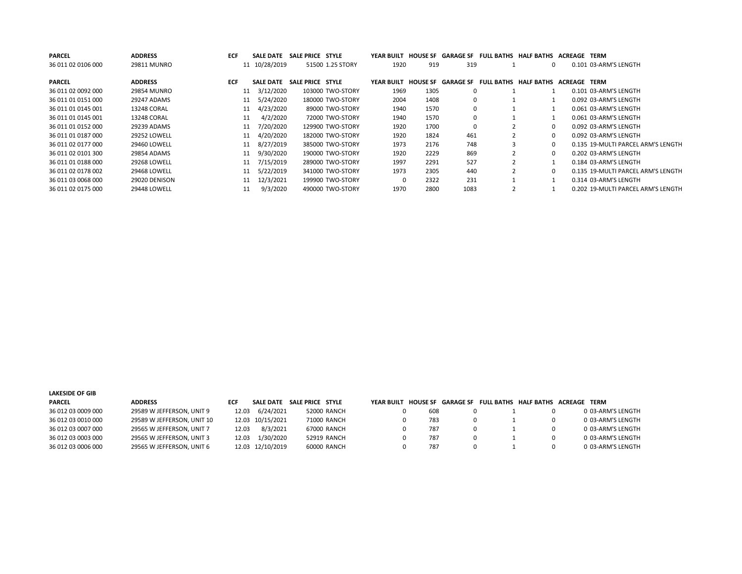| <b>PARCEL</b>      | <b>ADDRESS</b>      | <b>ECF</b> | <b>SALE DATE</b> | SALE PRICE STYLE |                  | <b>YEAR BUILT</b> |                 | <b>HOUSE SF GARAGE SF</b> | <b>FULL BATHS HALF BATHS</b> | ACREAGE             | TERM                               |
|--------------------|---------------------|------------|------------------|------------------|------------------|-------------------|-----------------|---------------------------|------------------------------|---------------------|------------------------------------|
| 36 011 02 0106 000 | 29811 MUNRO         |            | 11 10/28/2019    |                  | 51500 1.25 STORY | 1920              | 919             | 319                       | 0                            |                     | 0.101 03-ARM'S LENGTH              |
| <b>PARCEL</b>      | <b>ADDRESS</b>      | <b>ECF</b> | <b>SALE DATE</b> | SALE PRICE STYLE |                  | <b>YEAR BUILT</b> | <b>HOUSE SF</b> | <b>GARAGE SF</b>          | <b>FULL BATHS HALF BATHS</b> | <b>ACREAGE TERM</b> |                                    |
| 36 011 02 0092 000 | 29854 MUNRO         |            | 3/12/2020<br>11  |                  | 103000 TWO-STORY | 1969              | 1305            | 0                         |                              |                     | 0.101 03-ARM'S LENGTH              |
| 36 011 01 0151 000 | 29247 ADAMS         |            | 5/24/2020<br>11  |                  | 180000 TWO-STORY | 2004              | 1408            | 0                         |                              |                     | 0.092 03-ARM'S LENGTH              |
| 36 011 01 0145 001 | 13248 CORAL         |            | 4/23/2020<br>11  |                  | 89000 TWO-STORY  | 1940              | 1570            | 0                         |                              |                     | 0.061 03-ARM'S LENGTH              |
| 36 011 01 0145 001 | 13248 CORAL         |            | 4/2/2020<br>11   |                  | 72000 TWO-STORY  | 1940              | 1570            | 0                         |                              |                     | 0.061 03-ARM'S LENGTH              |
| 36 011 01 0152 000 | 29239 ADAMS         |            | 7/20/2020<br>11  |                  | 129900 TWO-STORY | 1920              | 1700            | 0                         | 0                            |                     | 0.092 03-ARM'S LENGTH              |
| 36 011 01 0187 000 | <b>29252 LOWELL</b> |            | 4/20/2020<br>11  |                  | 182000 TWO-STORY | 1920              | 1824            | 461                       | 0                            |                     | 0.092 03-ARM'S LENGTH              |
| 36 011 02 0177 000 | <b>29460 LOWELL</b> |            | 8/27/2019<br>11  |                  | 385000 TWO-STORY | 1973              | 2176            | 748                       | $\Omega$                     |                     | 0.135 19-MULTI PARCEL ARM'S LENGTH |
| 36 011 02 0101 300 | 29854 ADAMS         |            | 9/30/2020<br>11  |                  | 190000 TWO-STORY | 1920              | 2229            | 869                       | 0                            |                     | 0.202 03-ARM'S LENGTH              |
| 36 011 01 0188 000 | <b>29268 LOWELL</b> |            | 7/15/2019<br>11  |                  | 289000 TWO-STORY | 1997              | 2291            | 527                       |                              |                     | 0.184 03-ARM'S LENGTH              |
| 36 011 02 0178 002 | 29468 LOWELL        |            | 5/22/2019<br>11  |                  | 341000 TWO-STORY | 1973              | 2305            | 440                       | 0                            |                     | 0.135 19-MULTI PARCEL ARM'S LENGTH |
| 36 011 03 0068 000 | 29020 DENISON       |            | 12/3/2021<br>11  |                  | 199900 TWO-STORY |                   | 2322            | 231                       |                              |                     | 0.314 03-ARM'S LENGTH              |
| 36 011 02 0175 000 | 29448 LOWELL        | 11         | 9/3/2020         |                  | 490000 TWO-STORY | 1970              | 2800            | 1083                      |                              |                     | 0.202 19-MULTI PARCEL ARM'S LENGTH |

| <b>LAKESIDE OF GIB</b> |                            |       |                            |             |            |     |   |   |                                                       |                   |
|------------------------|----------------------------|-------|----------------------------|-------------|------------|-----|---|---|-------------------------------------------------------|-------------------|
| <b>PARCEL</b>          | <b>ADDRESS</b>             | ECF   | SALE DATE SALE PRICE STYLE |             | YFAR BUILT |     |   |   | HOUSE SF GARAGE SF FULL BATHS HALF BATHS ACREAGE TERM |                   |
| 36 012 03 0009 000     | 29589 W JEFFERSON, UNIT 9  | 12.03 | 6/24/2021                  | 52000 RANCH |            | 608 | 0 |   |                                                       | 0 03-ARM'S LENGTH |
| 36 012 03 0010 000     | 29589 W JEFFERSON, UNIT 10 |       | 12.03 10/15/2021           | 71000 RANCH |            | 783 |   | 0 | $\Omega$                                              | 0 03-ARM'S LENGTH |
| 36 012 03 0007 000     | 29565 W JEFFERSON, UNIT 7  | 12.03 | 8/3/2021                   | 67000 RANCH |            | 787 |   | 0 | $\Omega$                                              | 0 03-ARM'S LENGTH |
| 36 012 03 0003 000     | 29565 W JEFFERSON, UNIT 3  | 12.03 | 1/30/2020                  | 52919 RANCH |            | 787 | 0 |   | 0                                                     | 0 03-ARM'S LENGTH |
| 36 012 03 0006 000     | 29565 W JEFFERSON, UNIT 6  |       | 12.03 12/10/2019           | 60000 RANCH |            | 787 |   | 0 | <sup>0</sup>                                          | 0 03-ARM'S LENGTH |
|                        |                            |       |                            |             |            |     |   |   |                                                       |                   |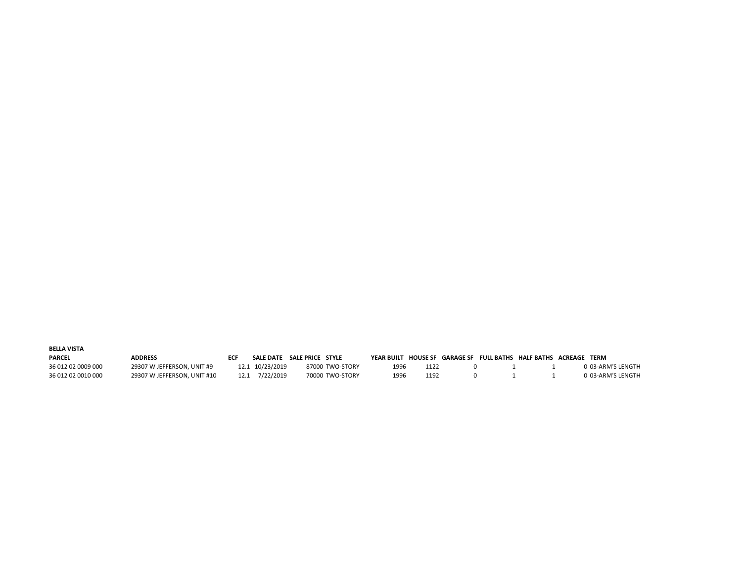| <b>BELLA VISTA</b> |                             |            |                  |                  |            |      |  |                                                       |                   |
|--------------------|-----------------------------|------------|------------------|------------------|------------|------|--|-------------------------------------------------------|-------------------|
| <b>PARCEL</b>      | <b>ADDRESS</b>              | <b>FCF</b> | <b>SALE DATE</b> | SALE PRICE STYLE | YEAR BUILT |      |  | HOUSE SF GARAGE SF FULL BATHS HALF BATHS ACREAGE TERM |                   |
| 36 012 02 0009 000 | 29307 W JEFFERSON, UNIT #9  |            | 12.1 10/23/2019  | 87000 TWO-STORY  | 1996       | 1122 |  |                                                       | 0 03-ARM'S LENGTH |
| 36 012 02 0010 000 | 29307 W JEFFERSON, UNIT #10 | 12.1       | 7/22/2019        | 70000 TWO-STORY  | 1996       | 1192 |  |                                                       | 0 03-ARM'S LENGTH |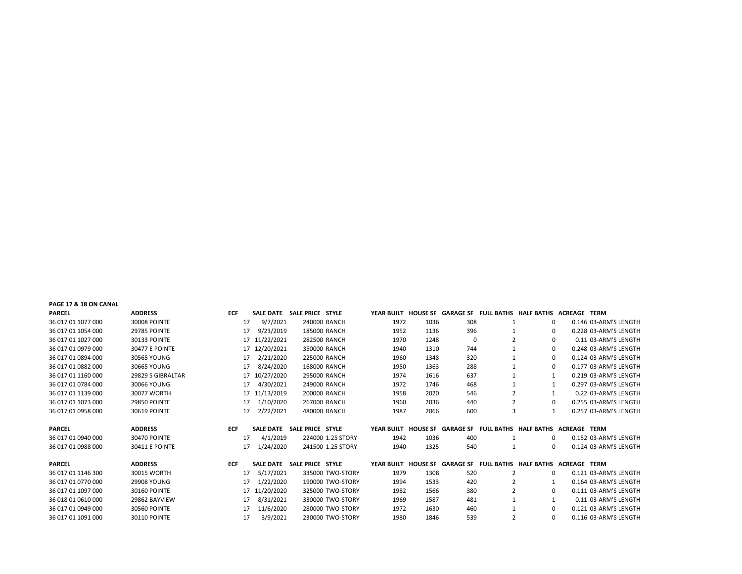| PAGE 17 & 18 ON CANAL |                       |            |    |                            |                  |                   |      |      |     |                |                                                                  |                       |
|-----------------------|-----------------------|------------|----|----------------------------|------------------|-------------------|------|------|-----|----------------|------------------------------------------------------------------|-----------------------|
| <b>PARCEL</b>         | <b>ADDRESS</b>        | <b>ECF</b> |    | SALE DATE SALE PRICE STYLE |                  |                   |      |      |     |                | YEAR BUILT HOUSE SF GARAGE SF FULL BATHS HALF BATHS ACREAGE TERM |                       |
| 36 017 01 1077 000    | 30008 POINTE          |            | 17 | 9/7/2021                   |                  | 240000 RANCH      | 1972 | 1036 | 308 |                | 0                                                                | 0.146 03-ARM'S LENGTH |
| 36 017 01 1054 000    | <b>29785 POINTE</b>   |            | 17 | 9/23/2019                  |                  | 185000 RANCH      | 1952 | 1136 | 396 |                | 0                                                                | 0.228 03-ARM'S LENGTH |
| 36 017 01 1027 000    | <b>30133 POINTE</b>   |            |    | 17 11/22/2021              |                  | 282500 RANCH      | 1970 | 1248 | 0   |                | 0                                                                | 0.11 03-ARM'S LENGTH  |
| 36 017 01 0979 000    | <b>30477 E POINTE</b> |            |    | 17 12/20/2021              |                  | 350000 RANCH      | 1940 | 1310 | 744 |                | $\Omega$                                                         | 0.248 03-ARM'S LENGTH |
| 36 017 01 0894 000    | 30565 YOUNG           |            | 17 | 2/21/2020                  |                  | 225000 RANCH      | 1960 | 1348 | 320 |                | 0                                                                | 0.124 03-ARM'S LENGTH |
| 36 017 01 0882 000    | 30665 YOUNG           |            | 17 | 8/24/2020                  |                  | 168000 RANCH      | 1950 | 1363 | 288 |                | $\Omega$                                                         | 0.177 03-ARM'S LENGTH |
| 36 017 01 1160 000    | 29829 S GIBRALTAR     |            |    | 17 10/27/2020              |                  | 295000 RANCH      | 1974 | 1616 | 637 |                | 1                                                                | 0.219 03-ARM'S LENGTH |
| 36 017 01 0784 000    | 30066 YOUNG           |            | 17 | 4/30/2021                  |                  | 249000 RANCH      | 1972 | 1746 | 468 |                |                                                                  | 0.297 03-ARM'S LENGTH |
| 36 017 01 1139 000    | 30077 WORTH           |            |    | 17 11/13/2019              |                  | 200000 RANCH      | 1958 | 2020 | 546 | $\overline{2}$ |                                                                  | 0.22 03-ARM'S LENGTH  |
| 36 017 01 1073 000    | <b>29850 POINTE</b>   |            | 17 | 1/10/2020                  |                  | 267000 RANCH      | 1960 | 2036 | 440 | 2              | $\Omega$                                                         | 0.255 03-ARM'S LENGTH |
| 36 017 01 0958 000    | <b>30619 POINTE</b>   |            | 17 | 2/22/2021                  |                  | 480000 RANCH      | 1987 | 2066 | 600 | 3              | 1                                                                | 0.257 03-ARM'S LENGTH |
|                       |                       |            |    |                            |                  |                   |      |      |     |                |                                                                  |                       |
| <b>PARCEL</b>         | <b>ADDRESS</b>        | <b>ECF</b> |    | <b>SALE DATE</b>           | SALE PRICE STYLE |                   |      |      |     |                | YEAR BUILT HOUSE SF GARAGE SF FULL BATHS HALF BATHS ACREAGE TERM |                       |
| 36 017 01 0940 000    | <b>30470 POINTE</b>   |            | 17 | 4/1/2019                   |                  | 224000 1.25 STORY | 1942 | 1036 | 400 |                | 0                                                                | 0.152 03-ARM'S LENGTH |
| 36 017 01 0988 000    | <b>30411 E POINTE</b> |            | 17 | 1/24/2020                  |                  | 241500 1.25 STORY | 1940 | 1325 | 540 | 1              | 0                                                                | 0.124 03-ARM'S LENGTH |
|                       |                       |            |    |                            |                  |                   |      |      |     |                |                                                                  |                       |
| <b>PARCEL</b>         | <b>ADDRESS</b>        | <b>ECF</b> |    | <b>SALE DATE</b>           | SALE PRICE STYLE |                   |      |      |     |                | YEAR BUILT HOUSE SF GARAGE SF FULL BATHS HALF BATHS ACREAGE TERM |                       |
| 36 017 01 1146 300    | 30015 WORTH           |            | 17 | 5/17/2021                  |                  | 335000 TWO-STORY  | 1979 | 1308 | 520 | $\overline{2}$ | 0                                                                | 0.121 03-ARM'S LENGTH |
| 36 017 01 0770 000    | <b>29908 YOUNG</b>    |            | 17 | 1/22/2020                  |                  | 190000 TWO-STORY  | 1994 | 1533 | 420 |                |                                                                  | 0.164 03-ARM'S LENGTH |
| 36 017 01 1097 000    | <b>30160 POINTE</b>   |            |    | 17 11/20/2020              |                  | 325000 TWO-STORY  | 1982 | 1566 | 380 | 2              | $\Omega$                                                         | 0.111 03-ARM'S LENGTH |
| 36 018 01 0610 000    | 29862 BAYVIEW         |            | 17 | 8/31/2021                  |                  | 330000 TWO-STORY  | 1969 | 1587 | 481 |                |                                                                  | 0.11 03-ARM'S LENGTH  |
| 36 017 01 0949 000    | <b>30560 POINTE</b>   |            | 17 | 11/6/2020                  |                  | 280000 TWO-STORY  | 1972 | 1630 | 460 |                | 0                                                                | 0.121 03-ARM'S LENGTH |
| 36 017 01 1091 000    | <b>30110 POINTE</b>   |            | 17 | 3/9/2021                   |                  | 230000 TWO-STORY  | 1980 | 1846 | 539 | $\overline{2}$ | $\Omega$                                                         | 0.116 03-ARM'S LENGTH |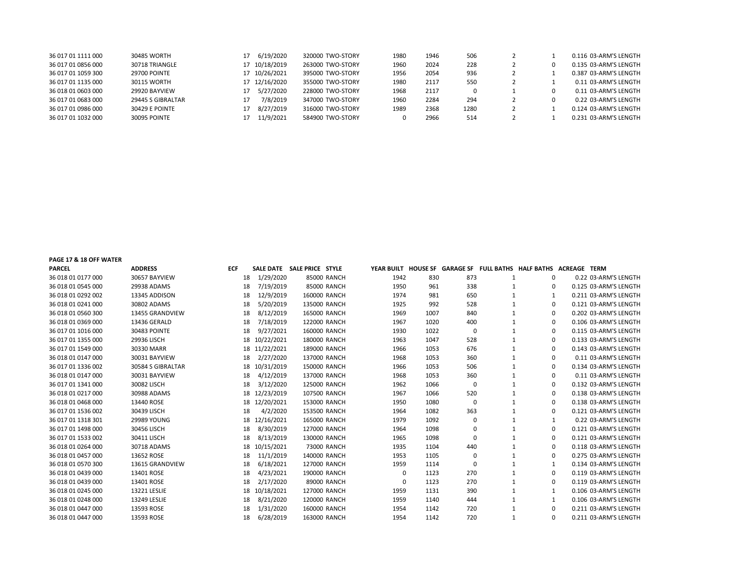| 36 017 01 1111 000 | 30485 WORTH           | 6/19/2020     | 320000 TWO-STORY | 1980         | 1946 | 506  |  | 0.116 03-ARM'S LENGTH |
|--------------------|-----------------------|---------------|------------------|--------------|------|------|--|-----------------------|
| 36 017 01 0856 000 | 30718 TRIANGLE        | 17 10/18/2019 | 263000 TWO-STORY | 1960         | 2024 | 228  |  | 0.135 03-ARM'S LENGTH |
| 36 017 01 1059 300 | <b>29700 POINTE</b>   | 17 10/26/2021 | 395000 TWO-STORY | 1956         | 2054 | 936  |  | 0.387 03-ARM'S LENGTH |
| 36 017 01 1135 000 | 30115 WORTH           | 17 12/16/2020 | 355000 TWO-STORY | 1980         | 2117 | 550  |  | 0.11 03-ARM'S LENGTH  |
| 36 018 01 0603 000 | 29920 BAYVIEW         | 5/27/2020     | 228000 TWO-STORY | 1968         | 2117 | 0    |  | 0.11 03-ARM'S LENGTH  |
| 36 017 01 0683 000 | 29445 S GIBRALTAR     | 7/8/2019      | 347000 TWO-STORY | 1960         | 2284 | 294  |  | 0.22 03-ARM'S LENGTH  |
| 36 017 01 0986 000 | <b>30429 E POINTE</b> | 8/27/2019     | 316000 TWO-STORY | 1989         | 2368 | 1280 |  | 0.124 03-ARM'S LENGTH |
| 36 017 01 1032 000 | 30095 POINTE          | 11/9/2021     | 584900 TWO-STORY | <sup>0</sup> | 2966 | 514  |  | 0.231 03-ARM'S LENGTH |

PAGE 17 & 18 OFF WATER

| <b>PARCEL</b>      | <b>ADDRESS</b>    | <b>ECF</b> |               | SALE DATE SALE PRICE STYLE |      |      |          |   | YEAR BUILT HOUSE SF GARAGE SF FULL BATHS HALF BATHS ACREAGE TERM |                       |
|--------------------|-------------------|------------|---------------|----------------------------|------|------|----------|---|------------------------------------------------------------------|-----------------------|
| 36 018 01 0177 000 | 30657 BAYVIEW     | 18         | 1/29/2020     | 85000 RANCH                | 1942 | 830  | 873      | 1 | 0                                                                | 0.22 03-ARM'S LENGTH  |
| 36 018 01 0545 000 | 29938 ADAMS       | 18         | 7/19/2019     | 85000 RANCH                | 1950 | 961  | 338      |   | 0                                                                | 0.125 03-ARM'S LENGTH |
| 36 018 01 0292 002 | 13345 ADDISON     | 18         | 12/9/2019     | 160000 RANCH               | 1974 | 981  | 650      |   | 1                                                                | 0.211 03-ARM'S LENGTH |
| 36 018 01 0241 000 | 30802 ADAMS       | 18         | 5/20/2019     | 135000 RANCH               | 1925 | 992  | 528      |   | $\Omega$                                                         | 0.121 03-ARM'S LENGTH |
| 36 018 01 0560 300 | 13455 GRANDVIEW   | 18         | 8/12/2019     | 165000 RANCH               | 1969 | 1007 | 840      |   | $\Omega$                                                         | 0.202 03-ARM'S LENGTH |
| 36 018 01 0369 000 | 13436 GERALD      | 18         | 7/18/2019     | 122000 RANCH               | 1967 | 1020 | 400      |   | 0                                                                | 0.106 03-ARM'S LENGTH |
| 36 017 01 1016 000 | 30483 POINTE      | 18         | 9/27/2021     | 160000 RANCH               | 1930 | 1022 | $\Omega$ |   | 0                                                                | 0.115 03-ARM'S LENGTH |
| 36 017 01 1355 000 | 29936 LISCH       |            | 18 10/22/2021 | 180000 RANCH               | 1963 | 1047 | 528      |   | $\mathbf 0$                                                      | 0.133 03-ARM'S LENGTH |
| 36 017 01 1549 000 | 30330 MARR        |            | 18 11/22/2021 | 189000 RANCH               | 1966 | 1053 | 676      |   | 0                                                                | 0.143 03-ARM'S LENGTH |
| 36 018 01 0147 000 | 30031 BAYVIEW     | 18         | 2/27/2020     | 137000 RANCH               | 1968 | 1053 | 360      |   | 0                                                                | 0.11 03-ARM'S LENGTH  |
| 36 017 01 1336 002 | 30584 S GIBRALTAR |            | 18 10/31/2019 | 150000 RANCH               | 1966 | 1053 | 506      |   | $\mathbf 0$                                                      | 0.134 03-ARM'S LENGTH |
| 36 018 01 0147 000 | 30031 BAYVIEW     | 18         | 4/12/2019     | 137000 RANCH               | 1968 | 1053 | 360      |   | 0                                                                | 0.11 03-ARM'S LENGTH  |
| 36 017 01 1341 000 | 30082 LISCH       | 18         | 3/12/2020     | 125000 RANCH               | 1962 | 1066 | 0        |   | $\mathbf 0$                                                      | 0.132 03-ARM'S LENGTH |
| 36 018 01 0217 000 | 30988 ADAMS       |            | 18 12/23/2019 | 107500 RANCH               | 1967 | 1066 | 520      |   | 0                                                                | 0.138 03-ARM'S LENGTH |
| 36 018 01 0468 000 | 13440 ROSE        |            | 18 12/20/2021 | 153000 RANCH               | 1950 | 1080 | 0        |   | 0                                                                | 0.138 03-ARM'S LENGTH |
| 36 017 01 1536 002 | 30439 LISCH       | 18         | 4/2/2020      | 153500 RANCH               | 1964 | 1082 | 363      |   | $\Omega$                                                         | 0.121 03-ARM'S LENGTH |
| 36 017 01 1318 301 | 29989 YOUNG       |            | 18 12/16/2021 | 165000 RANCH               | 1979 | 1092 | n        |   | 1                                                                | 0.22 03-ARM'S LENGTH  |
| 36 017 01 1498 000 | 30456 LISCH       | 18         | 8/30/2019     | 127000 RANCH               | 1964 | 1098 | $\Omega$ |   | 0                                                                | 0.121 03-ARM'S LENGTH |
| 36 017 01 1533 002 | 30411 LISCH       | 18         | 8/13/2019     | 130000 RANCH               | 1965 | 1098 | $\Omega$ |   | 0                                                                | 0.121 03-ARM'S LENGTH |
| 36 018 01 0264 000 | 30718 ADAMS       |            | 18 10/15/2021 | 73000 RANCH                | 1935 | 1104 | 440      |   | 0                                                                | 0.118 03-ARM'S LENGTH |
| 36 018 01 0457 000 | 13652 ROSE        | 18         | 11/1/2019     | 140000 RANCH               | 1953 | 1105 | $\Omega$ |   | 0                                                                | 0.275 03-ARM'S LENGTH |
| 36 018 01 0570 300 | 13615 GRANDVIEW   | 18         | 6/18/2021     | 127000 RANCH               | 1959 | 1114 | $\Omega$ |   | 1                                                                | 0.134 03-ARM'S LENGTH |
| 36 018 01 0439 000 | 13401 ROSE        | 18         | 4/23/2021     | 190000 RANCH               | 0    | 1123 | 270      |   | 0                                                                | 0.119 03-ARM'S LENGTH |
| 36 018 01 0439 000 | 13401 ROSE        | 18         | 2/17/2020     | 89000 RANCH                | 0    | 1123 | 270      |   | 0                                                                | 0.119 03-ARM'S LENGTH |
| 36 018 01 0245 000 | 13221 LESLIE      |            | 18 10/18/2021 | 127000 RANCH               | 1959 | 1131 | 390      |   | 1                                                                | 0.106 03-ARM'S LENGTH |
| 36 018 01 0248 000 | 13249 LESLIE      | 18         | 8/21/2020     | 120000 RANCH               | 1959 | 1140 | 444      |   | 1                                                                | 0.106 03-ARM'S LENGTH |
| 36 018 01 0447 000 | 13593 ROSE        | 18         | 1/31/2020     | 160000 RANCH               | 1954 | 1142 | 720      |   | $\Omega$                                                         | 0.211 03-ARM'S LENGTH |
| 36 018 01 0447 000 | 13593 ROSE        | 18         | 6/28/2019     | 163000 RANCH               | 1954 | 1142 | 720      | 1 | $\Omega$                                                         | 0.211 03-ARM'S LENGTH |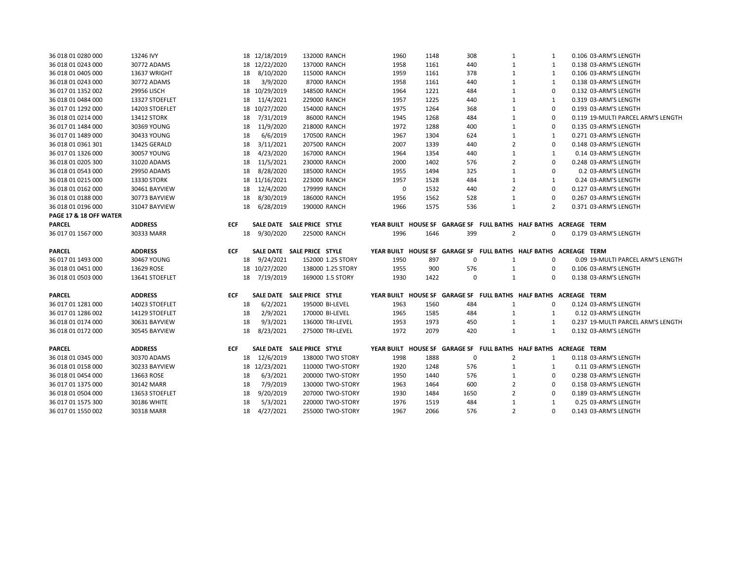| 36 018 01 0280 000     | 13246 IVY      |            |    | 18 12/18/2019 | 132000 RANCH               | 1960        | 1148 | 308         | 1              | 1            | 0.106 03-ARM'S LENGTH                                            |
|------------------------|----------------|------------|----|---------------|----------------------------|-------------|------|-------------|----------------|--------------|------------------------------------------------------------------|
| 36 018 01 0243 000     | 30772 ADAMS    |            |    | 18 12/22/2020 | 137000 RANCH               | 1958        | 1161 | 440         | $\mathbf{1}$   | $\mathbf{1}$ | 0.138 03-ARM'S LENGTH                                            |
| 36 018 01 0405 000     | 13637 WRIGHT   |            | 18 | 8/10/2020     | 115000 RANCH               | 1959        | 1161 | 378         | $\mathbf{1}$   | $\mathbf{1}$ | 0.106 03-ARM'S LENGTH                                            |
| 36 018 01 0243 000     | 30772 ADAMS    |            | 18 | 3/9/2020      | 87000 RANCH                | 1958        | 1161 | 440         | $\mathbf{1}$   | $\mathbf{1}$ | 0.138 03-ARM'S LENGTH                                            |
| 36 017 01 1352 002     | 29956 LISCH    |            |    | 18 10/29/2019 | 148500 RANCH               | 1964        | 1221 | 484         | $\mathbf{1}$   | $\mathbf 0$  | 0.132 03-ARM'S LENGTH                                            |
| 36 018 01 0484 000     | 13327 STOEFLET |            | 18 | 11/4/2021     | 229000 RANCH               | 1957        | 1225 | 440         | 1              | 1            | 0.319 03-ARM'S LENGTH                                            |
| 36 017 01 1292 000     | 14203 STOEFLET |            |    | 18 10/27/2020 | 154000 RANCH               | 1975        | 1264 | 368         | $\mathbf{1}$   | $\mathbf 0$  | 0.193 03-ARM'S LENGTH                                            |
| 36 018 01 0214 000     | 13412 STORK    |            | 18 | 7/31/2019     | 86000 RANCH                | 1945        | 1268 | 484         | $\mathbf{1}$   | 0            | 0.119 19-MULTI PARCEL ARM'S LENGTH                               |
| 36 017 01 1484 000     | 30369 YOUNG    |            | 18 | 11/9/2020     | 218000 RANCH               | 1972        | 1288 | 400         | $\mathbf{1}$   | $\mathbf 0$  | 0.135 03-ARM'S LENGTH                                            |
| 36 017 01 1489 000     | 30433 YOUNG    |            | 18 | 6/6/2019      | 170500 RANCH               | 1967        | 1304 | 624         | $\mathbf{1}$   | 1            | 0.271 03-ARM'S LENGTH                                            |
| 36 018 01 0361 301     | 13425 GERALD   |            | 18 | 3/11/2021     | 207500 RANCH               | 2007        | 1339 | 440         | $\overline{2}$ | 0            | 0.148 03-ARM'S LENGTH                                            |
| 36 017 01 1326 000     | 30057 YOUNG    |            | 18 | 4/23/2020     | 167000 RANCH               | 1964        | 1354 | 440         | $\mathbf{1}$   | 1            | 0.14 03-ARM'S LENGTH                                             |
| 36 018 01 0205 300     | 31020 ADAMS    |            | 18 | 11/5/2021     | 230000 RANCH               | 2000        | 1402 | 576         | $\overline{2}$ | $\Omega$     | 0.248 03-ARM'S LENGTH                                            |
| 36 018 01 0543 000     | 29950 ADAMS    |            | 18 | 8/28/2020     | 185000 RANCH               | 1955        | 1494 | 325         | $\mathbf{1}$   | $\mathbf 0$  | 0.2 03-ARM'S LENGTH                                              |
| 36 018 01 0215 000     | 13330 STORK    |            |    | 18 11/16/2021 | 223000 RANCH               | 1957        | 1528 | 484         | $\mathbf{1}$   | $\mathbf{1}$ | 0.24 03-ARM'S LENGTH                                             |
| 36 018 01 0162 000     | 30461 BAYVIEW  |            | 18 | 12/4/2020     | 179999 RANCH               | $\mathbf 0$ | 1532 | 440         | $\overline{2}$ | $\mathbf 0$  | 0.127 03-ARM'S LENGTH                                            |
| 36 018 01 0188 000     | 30773 BAYVIEW  |            | 18 | 8/30/2019     | 186000 RANCH               | 1956        | 1562 | 528         | 1              | 0            | 0.267 03-ARM'S LENGTH                                            |
| 36 018 01 0196 000     | 31047 BAYVIEW  |            | 18 | 6/28/2019     | 190000 RANCH               | 1966        | 1575 | 536         | $\mathbf{1}$   | 2            | 0.371 03-ARM'S LENGTH                                            |
| PAGE 17 & 18 OFF WATER |                |            |    |               |                            |             |      |             |                |              |                                                                  |
| <b>PARCEL</b>          | <b>ADDRESS</b> | ECF        |    |               | SALE DATE SALE PRICE STYLE |             |      |             |                |              | YEAR BUILT HOUSE SF GARAGE SF FULL BATHS HALF BATHS ACREAGE TERM |
| 36 017 01 1567 000     | 30333 MARR     |            | 18 | 9/30/2020     | 225000 RANCH               | 1996        | 1646 | 399         | $\overline{2}$ | 0            | 0.179 03-ARM'S LENGTH                                            |
|                        |                | <b>ECF</b> |    |               | SALE DATE SALE PRICE STYLE |             |      |             |                |              | YEAR BUILT HOUSE SF GARAGE SF FULL BATHS HALF BATHS ACREAGE TERM |
| PARCEL                 | <b>ADDRESS</b> |            |    |               |                            |             |      |             |                |              |                                                                  |
| 36 017 01 1493 000     | 30467 YOUNG    |            | 18 | 9/24/2021     | 152000 1.25 STORY          | 1950        | 897  | $\mathbf 0$ | 1              | 0            | 0.09 19-MULTI PARCEL ARM'S LENGTH                                |
| 36 018 01 0451 000     | 13629 ROSE     |            |    | 18 10/27/2020 | 138000 1.25 STORY          | 1955        | 900  | 576         | $\mathbf{1}$   | 0            | 0.106 03-ARM'S LENGTH                                            |
| 36 018 01 0503 000     | 13641 STOEFLET |            | 18 | 7/19/2019     | 169000 1.5 STORY           | 1930        | 1422 | $\Omega$    | $\mathbf{1}$   | $\Omega$     | 0.138 03-ARM'S LENGTH                                            |
| <b>PARCEL</b>          | <b>ADDRESS</b> | <b>ECF</b> |    |               | SALE DATE SALE PRICE STYLE |             |      |             |                |              | YEAR BUILT HOUSE SF GARAGE SF FULL BATHS HALF BATHS ACREAGE TERM |
| 36 017 01 1281 000     | 14023 STOEFLET |            | 18 | 6/2/2021      | 195000 BI-LEVEL            | 1963        | 1560 | 484         | 1              | 0            | 0.124 03-ARM'S LENGTH                                            |
| 36 017 01 1286 002     | 14129 STOEFLET |            | 18 | 2/9/2021      | 170000 BI-LEVEL            | 1965        | 1585 | 484         | 1              | 1            | 0.12 03-ARM'S LENGTH                                             |
| 36 018 01 0174 000     | 30631 BAYVIEW  |            | 18 | 9/3/2021      | 136000 TRI-LEVEL           | 1953        | 1973 | 450         | 1              | 1            | 0.237 19-MULTI PARCEL ARM'S LENGTH                               |
| 36 018 01 0172 000     | 30545 BAYVIEW  |            | 18 | 8/23/2021     | 275000 TRI-LEVEL           | 1972        | 2079 | 420         | $\mathbf{1}$   | 1            | 0.132 03-ARM'S LENGTH                                            |
| <b>PARCEL</b>          | <b>ADDRESS</b> | <b>ECF</b> |    |               | SALE DATE SALE PRICE STYLE |             |      |             |                |              | YEAR BUILT HOUSE SF GARAGE SF FULL BATHS HALF BATHS ACREAGE TERM |
| 36 018 01 0345 000     | 30370 ADAMS    |            | 18 | 12/6/2019     | 138000 TWO STORY           | 1998        | 1888 | $\mathbf 0$ | $\overline{2}$ | 1            | 0.118 03-ARM'S LENGTH                                            |
| 36 018 01 0158 000     | 30233 BAYVIEW  |            |    | 18 12/23/2021 | 110000 TWO-STORY           | 1920        | 1248 | 576         | 1              | 1            | 0.11 03-ARM'S LENGTH                                             |
| 36 018 01 0454 000     | 13663 ROSE     |            | 18 | 6/3/2021      | 200000 TWO-STORY           | 1950        | 1440 | 576         | $\mathbf{1}$   | $\Omega$     | 0.238 03-ARM'S LENGTH                                            |
| 36 017 01 1375 000     | 30142 MARR     |            | 18 | 7/9/2019      | 130000 TWO-STORY           | 1963        | 1464 | 600         | $\overline{2}$ | $\mathbf 0$  | 0.158 03-ARM'S LENGTH                                            |
| 36 018 01 0504 000     | 13653 STOEFLET |            | 18 | 9/20/2019     | 207000 TWO-STORY           | 1930        | 1484 | 1650        | $\overline{2}$ | $\mathbf 0$  | 0.189 03-ARM'S LENGTH                                            |
| 36 017 01 1575 300     | 30186 WHITE    |            | 18 | 5/3/2021      | 220000 TWO-STORY           | 1976        | 1519 | 484         | 1              | 1            | 0.25 03-ARM'S LENGTH                                             |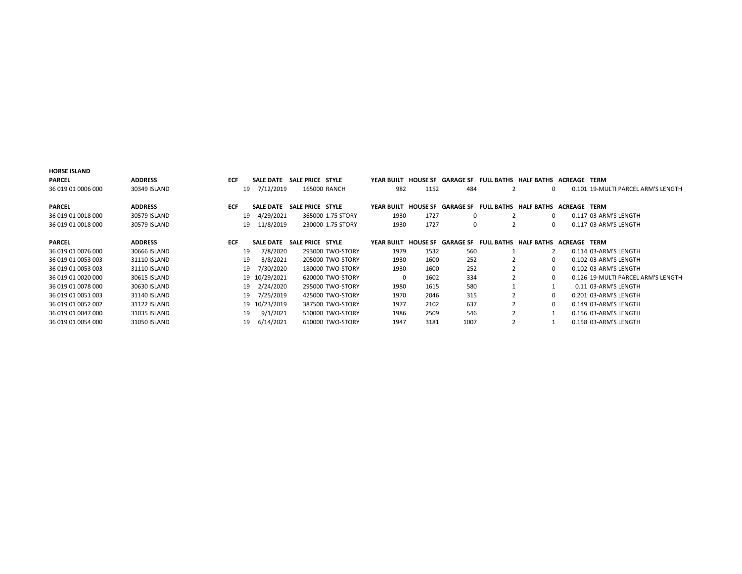| <b>PARCEL</b>      | <b>ADDRESS</b> | <b>ECF</b> | <b>SALE DATE</b> | SALE PRICE STYLE |                   | YEAR BUILT        | <b>HOUSE SF</b> |                  | GARAGE SF FULL BATHS HALF BATHS ACREAGE | TERM                               |
|--------------------|----------------|------------|------------------|------------------|-------------------|-------------------|-----------------|------------------|-----------------------------------------|------------------------------------|
| 36 019 01 0006 000 | 30349 ISLAND   |            | 7/12/2019<br>19  |                  | 165000 RANCH      | 982               | 1152            | 484              | 0                                       | 0.101 19-MULTI PARCEL ARM'S LENGTH |
|                    |                |            |                  |                  |                   |                   |                 |                  |                                         |                                    |
| <b>PARCEL</b>      | <b>ADDRESS</b> | <b>ECF</b> | <b>SALE DATE</b> | SALE PRICE STYLE |                   | YEAR BUILT        | <b>HOUSE SF</b> | <b>GARAGE SF</b> | FULL BATHS HALF BATHS ACREAGE TERM      |                                    |
| 36 019 01 0018 000 | 30579 ISLAND   |            | 4/29/2021<br>19  |                  | 365000 1.75 STORY | 1930              | 1727            | 0                | 0                                       | 0.117 03-ARM'S LENGTH              |
| 36 019 01 0018 000 | 30579 ISLAND   |            | 11/8/2019<br>19  |                  | 230000 1.75 STORY | 1930              | 1727            | 0                | 0                                       | 0.117 03-ARM'S LENGTH              |
| <b>PARCEL</b>      | <b>ADDRESS</b> | <b>ECF</b> | <b>SALE DATE</b> | SALE PRICE STYLE |                   | <b>YEAR BUILT</b> | <b>HOUSE SF</b> | <b>GARAGE SF</b> | FULL BATHS HALF BATHS ACREAGE TERM      |                                    |
|                    |                |            |                  |                  |                   |                   |                 |                  |                                         |                                    |
| 36 019 01 0076 000 | 30666 ISLAND   |            | 7/8/2020<br>19   |                  | 293000 TWO-STORY  | 1979              | 1532            | 560              |                                         | 0.114 03-ARM'S LENGTH              |
| 36 019 01 0053 003 | 31110 ISLAND   |            | 19<br>3/8/2021   |                  | 205000 TWO-STORY  | 1930              | 1600            | 252              | 0                                       | 0.102 03-ARM'S LENGTH              |
| 36 019 01 0053 003 | 31110 ISLAND   |            | 7/30/2020<br>19  |                  | 180000 TWO-STORY  | 1930              | 1600            | 252              | 0                                       | 0.102 03-ARM'S LENGTH              |
| 36 019 01 0020 000 | 30615 ISLAND   |            | 19 10/29/2021    |                  | 620000 TWO-STORY  | $\Omega$          | 1602            | 334              | $\Omega$                                | 0.126 19-MULTI PARCEL ARM'S LENGTH |
| 36 019 01 0078 000 | 30630 ISLAND   |            | 2/24/2020<br>19  |                  | 295000 TWO-STORY  | 1980              | 1615            | 580              |                                         | 0.11 03-ARM'S LENGTH               |
| 36 019 01 0051 003 | 31140 ISLAND   |            | 7/25/2019<br>19  |                  | 425000 TWO-STORY  | 1970              | 2046            | 315              | 0                                       | 0.201 03-ARM'S LENGTH              |
| 36 019 01 0052 002 | 31122 ISLAND   |            | 19 10/23/2019    |                  | 387500 TWO-STORY  | 1977              | 2102            | 637              | $\Omega$                                | 0.149 03-ARM'S LENGTH              |
| 36 019 01 0047 000 | 31035 ISLAND   |            | 9/1/2021<br>19   |                  | 510000 TWO-STORY  | 1986              | 2509            | 546              |                                         | 0.156 03-ARM'S LENGTH              |
| 36 019 01 0054 000 | 31050 ISLAND   |            | 6/14/2021<br>19  |                  | 610000 TWO-STORY  | 1947              | 3181            | 1007             |                                         | 0.158 03-ARM'S LENGTH              |

HORSE ISLAND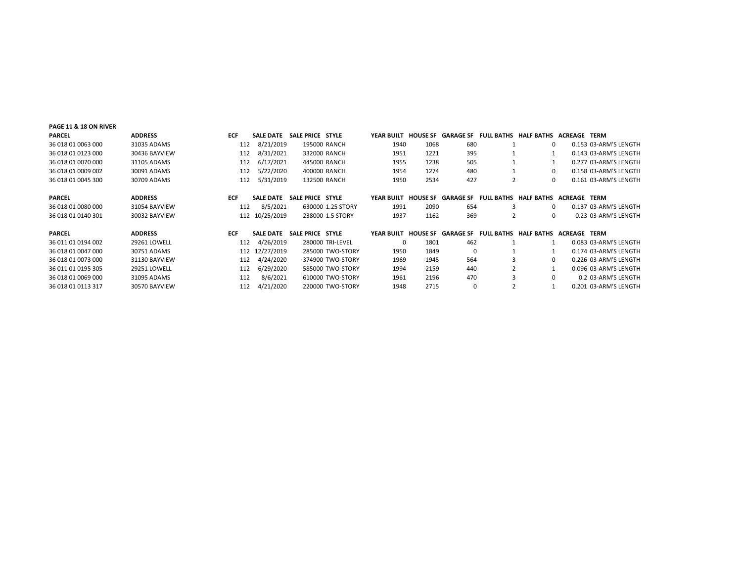| <b>PAGE 11 &amp; 18 ON RIVER</b> |                     |            |                  |                  |                   |                   |      |                           |                |                                                       |         |                       |
|----------------------------------|---------------------|------------|------------------|------------------|-------------------|-------------------|------|---------------------------|----------------|-------------------------------------------------------|---------|-----------------------|
| <b>PARCEL</b>                    | <b>ADDRESS</b>      | <b>ECF</b> | <b>SALE DATE</b> | SALE PRICE STYLE |                   | YEAR BUILT        |      |                           |                | HOUSE SF GARAGE SF FULL BATHS HALF BATHS ACREAGE      |         | TERM                  |
| 36 018 01 0063 000               | 31035 ADAMS         | 112        | 8/21/2019        |                  | 195000 RANCH      | 1940              | 1068 | 680                       |                | 0                                                     |         | 0.153 03-ARM'S LENGTH |
| 36 018 01 0123 000               | 30436 BAYVIEW       | 112        | 8/31/2021        |                  | 332000 RANCH      | 1951              | 1221 | 395                       |                |                                                       |         | 0.143 03-ARM'S LENGTH |
| 36 018 01 0070 000               | 31105 ADAMS         | 112        | 6/17/2021        |                  | 445000 RANCH      | 1955              | 1238 | 505                       |                |                                                       |         | 0.277 03-ARM'S LENGTH |
| 36 018 01 0009 002               | 30091 ADAMS         | 112        | 5/22/2020        |                  | 400000 RANCH      | 1954              | 1274 | 480                       |                | 0                                                     |         | 0.158 03-ARM'S LENGTH |
| 36 018 01 0045 300               | 30709 ADAMS         | 112        | 5/31/2019        |                  | 132500 RANCH      | 1950              | 2534 | 427                       | $\overline{2}$ | 0                                                     |         | 0.161 03-ARM'S LENGTH |
|                                  |                     |            |                  |                  |                   |                   |      |                           |                |                                                       |         |                       |
| <b>PARCEL</b>                    | <b>ADDRESS</b>      | <b>ECF</b> | <b>SALE DATE</b> | SALE PRICE STYLE |                   | <b>YEAR BUILT</b> |      | <b>HOUSE SF GARAGE SF</b> |                | <b>FULL BATHS HALF BATHS</b>                          | ACREAGE | TERM                  |
| 36 018 01 0080 000               | 31054 BAYVIEW       | 112        | 8/5/2021         |                  | 630000 1.25 STORY | 1991              | 2090 | 654                       | 3              | 0                                                     |         | 0.137 03-ARM'S LENGTH |
| 36 018 01 0140 301               | 30032 BAYVIEW       |            | 112 10/25/2019   |                  | 238000 1.5 STORY  | 1937              | 1162 | 369                       | $\overline{2}$ | 0                                                     |         | 0.23 03-ARM'S LENGTH  |
|                                  |                     |            |                  |                  |                   |                   |      |                           |                |                                                       |         |                       |
| <b>PARCEL</b>                    | <b>ADDRESS</b>      | <b>ECF</b> | <b>SALE DATE</b> | SALE PRICE STYLE |                   | <b>YEAR BUILT</b> |      |                           |                | HOUSE SF GARAGE SF FULL BATHS HALF BATHS ACREAGE TERM |         |                       |
| 36 011 01 0194 002               | <b>29261 LOWELL</b> | 112        | 4/26/2019        |                  | 280000 TRI-LEVEL  | $\Omega$          | 1801 | 462                       |                |                                                       |         | 0.083 03-ARM'S LENGTH |
| 36 018 01 0047 000               | 30751 ADAMS         |            | 112 12/27/2019   |                  | 285000 TWO-STORY  | 1950              | 1849 | $\Omega$                  |                |                                                       |         | 0.174 03-ARM'S LENGTH |
| 36 018 01 0073 000               | 31130 BAYVIEW       | 112        | 4/24/2020        |                  | 374900 TWO-STORY  | 1969              | 1945 | 564                       |                | 0                                                     |         | 0.226 03-ARM'S LENGTH |
| 36 011 01 0195 305               | <b>29251 LOWELL</b> | 112        | 6/29/2020        |                  | 585000 TWO-STORY  | 1994              | 2159 | 440                       |                |                                                       |         | 0.096 03-ARM'S LENGTH |
| 36 018 01 0069 000               | 31095 ADAMS         | 112        | 8/6/2021         |                  | 610000 TWO-STORY  | 1961              | 2196 | 470                       |                | 0                                                     |         | 0.2 03-ARM'S LENGTH   |
| 36 018 01 0113 317               | 30570 BAYVIEW       | 112        | 4/21/2020        |                  | 220000 TWO-STORY  | 1948              | 2715 | $\Omega$                  |                |                                                       |         | 0.201 03-ARM'S LENGTH |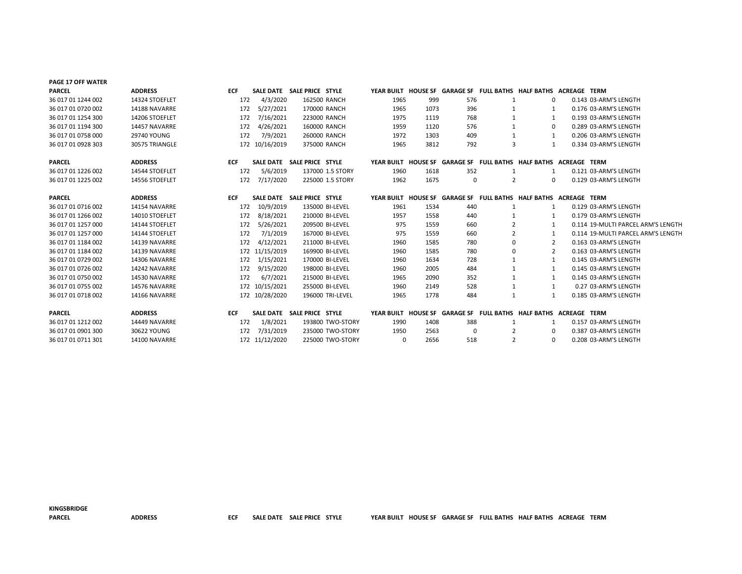| PAGE 17 OFF WATER  |                |            |                |                            |                  |          |      |             |                |                                                                  |                                    |
|--------------------|----------------|------------|----------------|----------------------------|------------------|----------|------|-------------|----------------|------------------------------------------------------------------|------------------------------------|
| <b>PARCEL</b>      | <b>ADDRESS</b> | <b>ECF</b> |                | SALE DATE SALE PRICE STYLE |                  |          |      |             |                | YEAR BUILT HOUSE SF GARAGE SF FULL BATHS HALF BATHS ACREAGE TERM |                                    |
| 36 017 01 1244 002 | 14324 STOEFLET | 172        | 4/3/2020       |                            | 162500 RANCH     | 1965     | 999  | 576         | -1             | 0                                                                | 0.143 03-ARM'S LENGTH              |
| 36 017 01 0720 002 | 14188 NAVARRE  | 172        | 5/27/2021      |                            | 170000 RANCH     | 1965     | 1073 | 396         | -1             |                                                                  | 0.176 03-ARM'S LENGTH              |
| 36 017 01 1254 300 | 14206 STOEFLET | 172        | 7/16/2021      |                            | 223000 RANCH     | 1975     | 1119 | 768         | 1              |                                                                  | 0.193 03-ARM'S LENGTH              |
| 36 017 01 1194 300 | 14457 NAVARRE  | 172        | 4/26/2021      |                            | 160000 RANCH     | 1959     | 1120 | 576         | -1             | $\Omega$                                                         | 0.289 03-ARM'S LENGTH              |
| 36 017 01 0758 000 | 29740 YOUNG    | 172        | 7/9/2021       |                            | 260000 RANCH     | 1972     | 1303 | 409         | 1              | 1                                                                | 0.206 03-ARM'S LENGTH              |
| 36 017 01 0928 303 | 30575 TRIANGLE |            | 172 10/16/2019 |                            | 375000 RANCH     | 1965     | 3812 | 792         | 3              | $\mathbf{1}$                                                     | 0.334 03-ARM'S LENGTH              |
| <b>PARCEL</b>      | <b>ADDRESS</b> | <b>ECF</b> |                | SALE DATE SALE PRICE STYLE |                  |          |      |             |                | YEAR BUILT HOUSE SF GARAGE SF FULL BATHS HALF BATHS ACREAGE TERM |                                    |
| 36 017 01 1226 002 | 14544 STOEFLET | 172        | 5/6/2019       |                            | 137000 1.5 STORY | 1960     | 1618 | 352         | -1             | 1                                                                | 0.121 03-ARM'S LENGTH              |
| 36 017 01 1225 002 | 14556 STOEFLET | 172        | 7/17/2020      |                            | 225000 1.5 STORY | 1962     | 1675 | $\mathbf 0$ | $\overline{2}$ | 0                                                                | 0.129 03-ARM'S LENGTH              |
| <b>PARCEL</b>      | <b>ADDRESS</b> | <b>ECF</b> |                | SALE DATE SALE PRICE STYLE |                  |          |      |             |                | YEAR BUILT HOUSE SF GARAGE SF FULL BATHS HALF BATHS ACREAGE TERM |                                    |
| 36 017 01 0716 002 | 14154 NAVARRE  | 172        | 10/9/2019      |                            | 135000 BI-LEVEL  | 1961     | 1534 | 440         | 1              |                                                                  | 0.129 03-ARM'S LENGTH              |
| 36 017 01 1266 002 | 14010 STOEFLET | 172        | 8/18/2021      |                            | 210000 BI-LEVEL  | 1957     | 1558 | 440         | $\mathbf{1}$   |                                                                  | 0.179 03-ARM'S LENGTH              |
| 36 017 01 1257 000 | 14144 STOEFLET | 172        | 5/26/2021      |                            | 209500 BI-LEVEL  | 975      | 1559 | 660         |                | -1                                                               | 0.114 19-MULTI PARCEL ARM'S LENGTH |
| 36 017 01 1257 000 | 14144 STOEFLET | 172        | 7/1/2019       |                            | 167000 BI-LEVEL  | 975      | 1559 | 660         | 2              |                                                                  | 0.114 19-MULTI PARCEL ARM'S LENGTH |
| 36 017 01 1184 002 | 14139 NAVARRE  | 172        | 4/12/2021      |                            | 211000 BI-LEVEL  | 1960     | 1585 | 780         | 0              | 2                                                                | 0.163 03-ARM'S LENGTH              |
| 36 017 01 1184 002 | 14139 NAVARRE  |            | 172 11/15/2019 |                            | 169900 BI-LEVEL  | 1960     | 1585 | 780         | 0              | $\overline{2}$                                                   | 0.163 03-ARM'S LENGTH              |
| 36 017 01 0729 002 | 14306 NAVARRE  | 172        | 1/15/2021      |                            | 170000 BI-LEVEL  | 1960     | 1634 | 728         |                | -1                                                               | 0.145 03-ARM'S LENGTH              |
| 36 017 01 0726 002 | 14242 NAVARRE  | 172        | 9/15/2020      |                            | 198000 BI-LEVEL  | 1960     | 2005 | 484         | 1              | -1                                                               | 0.145 03-ARM'S LENGTH              |
| 36 017 01 0750 002 | 14530 NAVARRE  | 172        | 6/7/2021       |                            | 215000 BI-LEVEL  | 1965     | 2090 | 352         |                | 1                                                                | 0.145 03-ARM'S LENGTH              |
| 36 017 01 0755 002 | 14576 NAVARRE  |            | 172 10/15/2021 |                            | 255000 BI-LEVEL  | 1960     | 2149 | 528         | 1              | 1                                                                | 0.27 03-ARM'S LENGTH               |
| 36 017 01 0718 002 | 14166 NAVARRE  |            | 172 10/28/2020 |                            | 196000 TRI-LEVEL | 1965     | 1778 | 484         | $\mathbf{1}$   | 1                                                                | 0.185 03-ARM'S LENGTH              |
| <b>PARCEL</b>      | <b>ADDRESS</b> | <b>ECF</b> |                | SALE DATE SALE PRICE STYLE |                  |          |      |             |                | YEAR BUILT HOUSE SF GARAGE SF FULL BATHS HALF BATHS ACREAGE TERM |                                    |
| 36 017 01 1212 002 | 14449 NAVARRE  | 172        | 1/8/2021       |                            | 193800 TWO-STORY | 1990     | 1408 | 388         | -1             | 1                                                                | 0.157 03-ARM'S LENGTH              |
| 36 017 01 0901 300 | 30622 YOUNG    | 172        | 7/31/2019      |                            | 235000 TWO-STORY | 1950     | 2563 | $\Omega$    |                | 0                                                                | 0.387 03-ARM'S LENGTH              |
| 36 017 01 0711 301 | 14100 NAVARRE  |            | 172 11/12/2020 |                            | 225000 TWO-STORY | $\Omega$ | 2656 | 518         | 2              | $\Omega$                                                         | 0.208 03-ARM'S LENGTH              |

KINGSBRIDGE

PARCEL ADDRESS ECF SALE DATE SALE PRICE STYLE YEAR BUILT HOUSE SF GARAGE SF FULL BATHS HALF BATHS ACREAGE TERM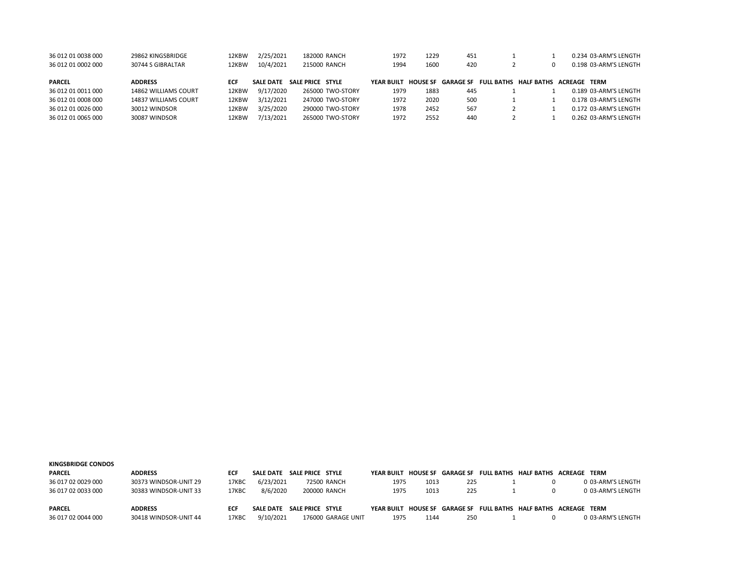| 36 012 01 0038 000 | 29862 KINGSBRIDGE    | 12KBW | 2/25/2021        | 182000 RANCH     | 1972       | 1229            | 451 |                                        |  | 0.234 03-ARM'S LENGTH |
|--------------------|----------------------|-------|------------------|------------------|------------|-----------------|-----|----------------------------------------|--|-----------------------|
| 36 012 01 0002 000 | 30744 S GIBRALTAR    | 12KBW | 10/4/2021        | 215000 RANCH     | 1994       | 1600            | 420 |                                        |  | 0.198 03-ARM'S LENGTH |
|                    |                      |       |                  |                  |            |                 |     |                                        |  |                       |
| <b>PARCEL</b>      | <b>ADDRESS</b>       | ECF   | <b>SALE DATE</b> | SALE PRICE STYLE | YFAR BUILT | <b>HOUSE SF</b> |     | <b>GARAGE SF FULL BATHS HALF BATHS</b> |  | <b>ACRFAGE TERM</b>   |
| 36 012 01 0011 000 | 14862 WILLIAMS COURT | 12KBW | 9/17/2020        | 265000 TWO-STORY | 1979       | 1883            | 445 |                                        |  | 0.189 03-ARM'S LENGTH |
| 36 012 01 0008 000 | 14837 WILLIAMS COURT | 12KBW | 3/12/2021        | 247000 TWO-STORY | 1972       | 2020            | 500 |                                        |  | 0.178 03-ARM'S LENGTH |
| 36 012 01 0026 000 | 30012 WINDSOR        | 12KBW | 3/25/2020        | 290000 TWO-STORY | 1978       | 2452            | 567 |                                        |  | 0.172 03-ARM'S LENGTH |
| 36 012 01 0065 000 | 30087 WINDSOR        | 12KBW | 7/13/2021        | 265000 TWO-STORY | 1972       | 2552            | 440 |                                        |  | 0.262 03-ARM'S LENGTH |

| <b>KINGSBRIDGE CONDOS</b> |                       |            |                  |                  |                    |                     |      |     |  |                                                                  |
|---------------------------|-----------------------|------------|------------------|------------------|--------------------|---------------------|------|-----|--|------------------------------------------------------------------|
| <b>PARCEL</b>             | <b>ADDRESS</b>        | <b>ECF</b> | <b>SALE DATE</b> | SALE PRICE STYLE |                    |                     |      |     |  | YEAR BUILT HOUSE SF GARAGE SF FULL BATHS HALF BATHS ACREAGE TERM |
| 36 017 02 0029 000        | 30373 WINDSOR-UNIT 29 | 17KBC      | 6/23/2021        |                  | 72500 RANCH        | 1975                | 1013 | 225 |  | 0 03-ARM'S LENGTH                                                |
| 36 017 02 0033 000        | 30383 WINDSOR-UNIT 33 | 17KBC      | 8/6/2020         |                  | 200000 RANCH       | 1975                | 1013 | 225 |  | 0 03-ARM'S LENGTH                                                |
|                           |                       |            |                  |                  |                    |                     |      |     |  |                                                                  |
| <b>PARCEL</b>             | <b>ADDRESS</b>        | ECF        | <b>SALE DATE</b> | SALE PRICE STYLE |                    | YEAR BUILT HOUSE SE |      |     |  | GARAGE SF FULL BATHS HALF BATHS ACREAGE TERM                     |
| 36 017 02 0044 000        | 30418 WINDSOR-UNIT 44 | 17KBC      | 9/10/2021        |                  | 176000 GARAGE UNIT | 1975                | 1144 | 250 |  | 0 03-ARM'S LENGTH                                                |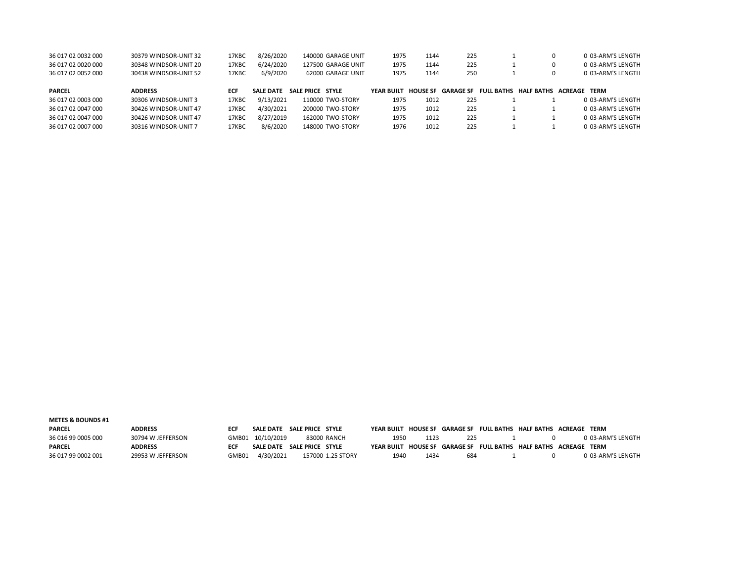| 36 017 02 0032 000 | 30379 WINDSOR-UNIT 32 | 17KBC | 8/26/2020        | 140000 GARAGE UNIT | 1975       | 1144            | 225       |  | 0 03-ARM'S LENGTH                  |
|--------------------|-----------------------|-------|------------------|--------------------|------------|-----------------|-----------|--|------------------------------------|
| 36 017 02 0020 000 | 30348 WINDSOR-UNIT 20 | 17KBC | 6/24/2020        | 127500 GARAGE UNIT | 1975       | 1144            | 225       |  | 0 03-ARM'S LENGTH                  |
| 36 017 02 0052 000 | 30438 WINDSOR-UNIT 52 | 17KBC | 6/9/2020         | 62000 GARAGE UNIT  | 1975       | 1144            | 250       |  | 0 03-ARM'S LENGTH                  |
| <b>PARCEL</b>      | <b>ADDRESS</b>        | ECF   | <b>SALE DATE</b> | SALE PRICE STYLE   | YFAR BUILT | <b>HOUSE SF</b> | GARAGE SF |  | FULL BATHS HALF BATHS ACREAGE TERM |
| 36 017 02 0003 000 | 30306 WINDSOR-UNIT 3  | 17KBC | 9/13/2021        | 110000 TWO-STORY   | 1975       | 1012            | 225       |  | 0 03-ARM'S LENGTH                  |
| 36 017 02 0047 000 | 30426 WINDSOR-UNIT 47 | 17KBC | 4/30/2021        | 200000 TWO-STORY   | 1975       | 1012            | 225       |  | 0 03-ARM'S LENGTH                  |
| 36 017 02 0047 000 | 30426 WINDSOR-UNIT 47 | 17KBC | 8/27/2019        | 162000 TWO-STORY   | 1975       | 1012            | 225       |  | 0 03-ARM'S LENGTH                  |
| 36 017 02 0007 000 | 30316 WINDSOR-UNIT 7  | 17KBC | 8/6/2020         | 148000 TWO-STORY   | 1976       | 1012            | 225       |  | 0.03-ARM'S LENGTH                  |

## METES & BOUNDS #1

PARCEL ADDRESS ECF SALE DATE SALE PRICE STYLE YEAR BUILT HOUSE SF GARAGE SF FULL BATHS HALF BATHS ACREAGE TERM 36 016 99 0005 000 30794 W JEFFERSON GMB01 10/10/2019 83000 RANCH 1950 1123 225 1 0 0 03-ARM'S LENGTH PARCEL ADDRESS ECF SALE DATE SALE PRICE STYLE YEAR BUILT HOUSE SF GARAGE SF FULL BATHS HALF BATHS ACREAGE TERM 36 017 99 0002 001 29953 W JEFFERSON GMB01 4/30/2021 157000 1.25 STORY 1940 1434 684 1 0 0 03-ARM'S LENGTH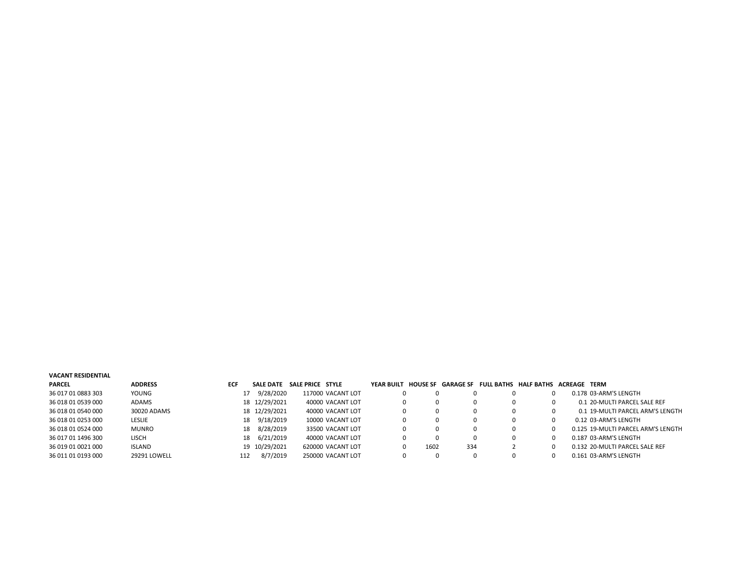## VACANT RESIDENTIAL

| <b>PARCEL</b>      | <b>ADDRESS</b> | <b>ECF</b> | SALE DATE     | SALE PRICE STYLE |                   | YEAR BUILT |      | <b>HOUSE SF GARAGE SF</b> | FULL BATHS HALF BATHS ACREAGE TERM |                                    |
|--------------------|----------------|------------|---------------|------------------|-------------------|------------|------|---------------------------|------------------------------------|------------------------------------|
| 36 017 01 0883 303 | YOUNG          |            | 9/28/2020     |                  | 117000 VACANT LOT |            |      | 0                         |                                    | 0.178 03-ARM'S LENGTH              |
| 36 018 01 0539 000 | <b>ADAMS</b>   |            | 18 12/29/2021 |                  | 40000 VACANT LOT  |            |      | 0                         |                                    | 0.1 20-MULTI PARCEL SALE REF       |
| 36 018 01 0540 000 | 30020 ADAMS    |            | 18 12/29/2021 |                  | 40000 VACANT LOT  |            |      | 0                         |                                    | 0.1 19-MULTI PARCEL ARM'S LENGTH   |
| 36 018 01 0253 000 | <b>LESLIE</b>  | 18         | 9/18/2019     |                  | 10000 VACANT LOT  |            |      | 0                         |                                    | 0.12 03-ARM'S LENGTH               |
| 36 018 01 0524 000 | <b>MUNRO</b>   | 18         | 8/28/2019     |                  | 33500 VACANT LOT  |            |      | 0                         |                                    | 0.125 19-MULTI PARCEL ARM'S LENGTH |
| 36 017 01 1496 300 | <b>LISCH</b>   | 18         | 6/21/2019     |                  | 40000 VACANT LOT  |            |      | 0                         |                                    | 0.187 03-ARM'S LENGTH              |
| 36 019 01 0021 000 | <b>ISLAND</b>  |            | 19 10/29/2021 |                  | 620000 VACANT LOT |            | 1602 | 334                       |                                    | 0.132 20-MULTI PARCEL SALE REF     |
| 36 011 01 0193 000 | 29291 LOWELL   | 112        | 8/7/2019      |                  | 250000 VACANT LOT |            |      | 0                         |                                    | 0.161 03-ARM'S LENGTH              |